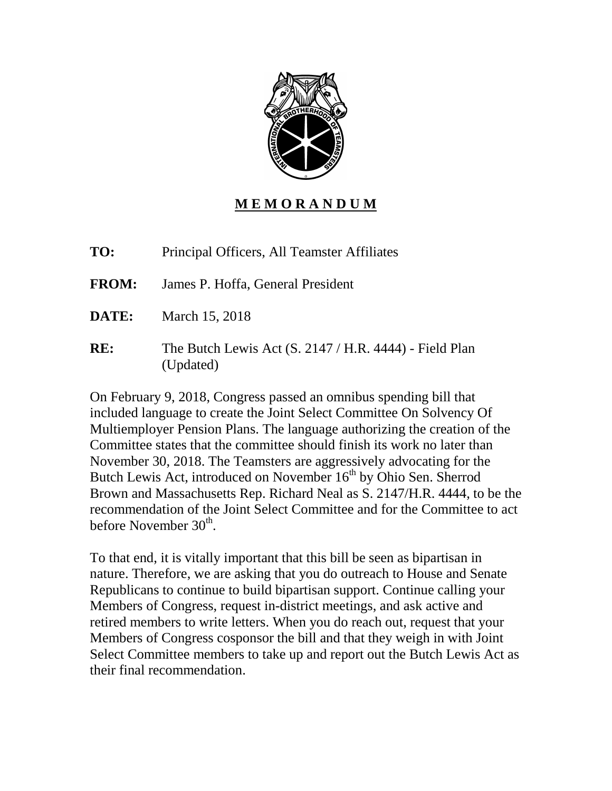

# **M E M O R A N D U M**

**TO:** Principal Officers, All Teamster Affiliates

- **FROM:** James P. Hoffa, General President
- **DATE:** March 15, 2018
- **RE:** The Butch Lewis Act (S. 2147 / H.R. 4444) Field Plan (Updated)

On February 9, 2018, Congress passed an omnibus spending bill that included language to create the Joint Select Committee On Solvency Of Multiemployer Pension Plans. The language authorizing the creation of the Committee states that the committee should finish its work no later than November 30, 2018. The Teamsters are aggressively advocating for the Butch Lewis Act, introduced on November  $16<sup>th</sup>$  by Ohio Sen. Sherrod Brown and Massachusetts Rep. Richard Neal as S. 2147/H.R. 4444, to be the recommendation of the Joint Select Committee and for the Committee to act before November 30<sup>th</sup>.

To that end, it is vitally important that this bill be seen as bipartisan in nature. Therefore, we are asking that you do outreach to House and Senate Republicans to continue to build bipartisan support. Continue calling your Members of Congress, request in-district meetings, and ask active and retired members to write letters. When you do reach out, request that your Members of Congress cosponsor the bill and that they weigh in with Joint Select Committee members to take up and report out the Butch Lewis Act as their final recommendation.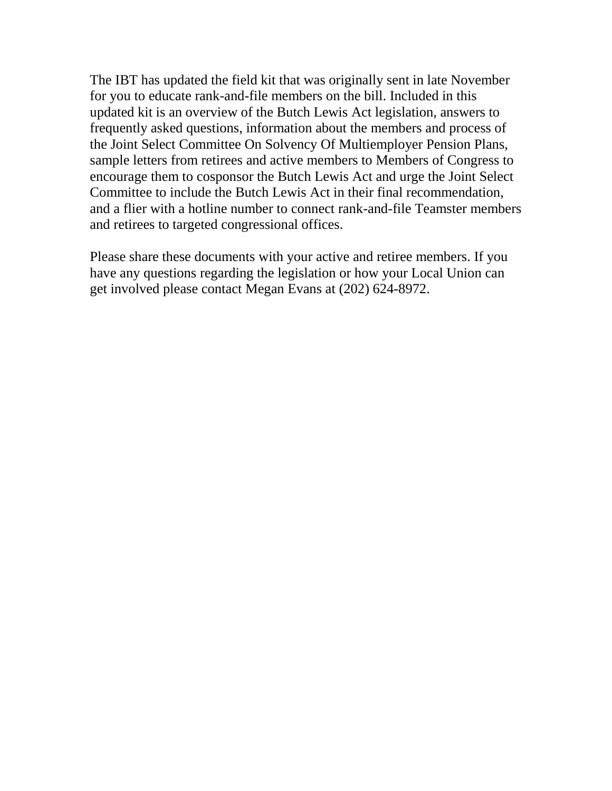The IBT has updated the field kit that was originally sent in late November for you to educate rank-and-file members on the bill. Included in this updated kit is an overview of the Butch Lewis Act legislation, answers to frequently asked questions, information about the members and process of the Joint Select Committee On Solvency Of Multiemployer Pension Plans, sample letters from retirees and active members to Members of Congress to encourage them to cosponsor the Butch Lewis Act and urge the Joint Select Committee to include the Butch Lewis Act in their final recommendation, and a flier with a hotline number to connect rank-and-file Teamster members and retirees to targeted congressional offices.

Please share these documents with your active and retiree members. If you have any questions regarding the legislation or how your Local Union can get involved please contact Megan Evans at (202) 624-8972.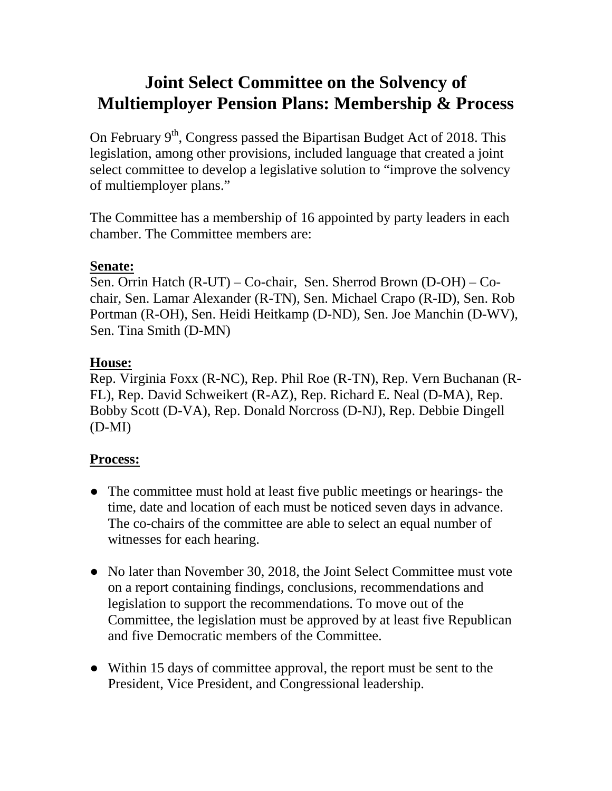# **Joint Select Committee on the Solvency of Multiemployer Pension Plans: Membership & Process**

On February  $9<sup>th</sup>$ , Congress passed the Bipartisan Budget Act of 2018. This legislation, among other provisions, included language that created a joint select committee to develop a legislative solution to "improve the solvency of multiemployer plans."

The Committee has a membership of 16 appointed by party leaders in each chamber. The Committee members are:

# **Senate:**

Sen. Orrin Hatch (R-UT) – Co-chair, Sen. Sherrod Brown (D-OH) – Cochair, Sen. Lamar Alexander (R-TN), Sen. Michael Crapo (R-ID), Sen. Rob Portman (R-OH), Sen. Heidi Heitkamp (D-ND), Sen. Joe Manchin (D-WV), Sen. Tina Smith (D-MN)

# **House:**

Rep. Virginia Foxx (R-NC), Rep. Phil Roe (R-TN), Rep. Vern Buchanan (R-FL), Rep. David Schweikert (R-AZ), Rep. Richard E. Neal (D-MA), Rep. Bobby Scott (D-VA), Rep. Donald Norcross (D-NJ), Rep. Debbie Dingell (D-MI)

# **Process:**

- The committee must hold at least five public meetings or hearings- the time, date and location of each must be noticed seven days in advance. The co-chairs of the committee are able to select an equal number of witnesses for each hearing.
- No later than November 30, 2018, the Joint Select Committee must vote on a report containing findings, conclusions, recommendations and legislation to support the recommendations. To move out of the Committee, the legislation must be approved by at least five Republican and five Democratic members of the Committee.
- Within 15 days of committee approval, the report must be sent to the President, Vice President, and Congressional leadership.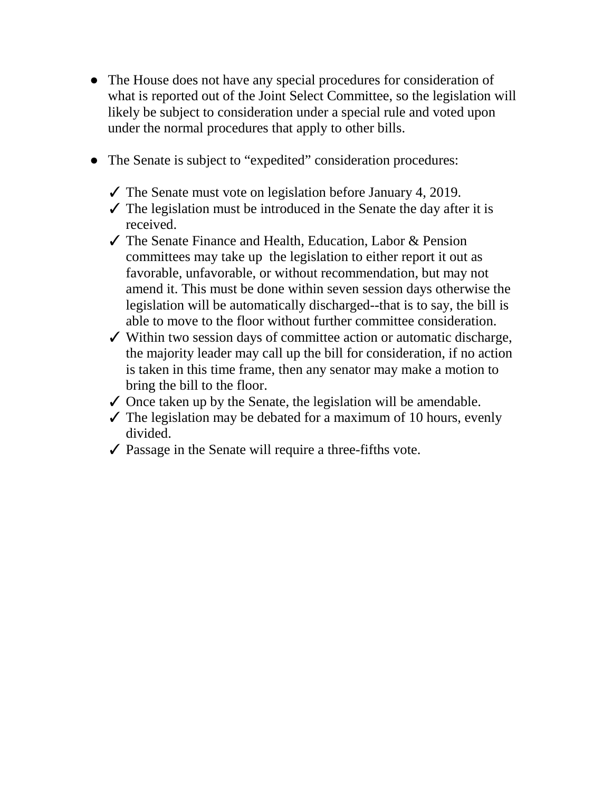- The House does not have any special procedures for consideration of what is reported out of the Joint Select Committee, so the legislation will likely be subject to consideration under a special rule and voted upon under the normal procedures that apply to other bills.
- The Senate is subject to "expedited" consideration procedures:
	- $\checkmark$  The Senate must vote on legislation before January 4, 2019.
	- $\checkmark$  The legislation must be introduced in the Senate the day after it is received.
	- ✓ The Senate Finance and Health, Education, Labor & Pension committees may take up the legislation to either report it out as favorable, unfavorable, or without recommendation, but may not amend it. This must be done within seven session days otherwise the legislation will be automatically discharged--that is to say, the bill is able to move to the floor without further committee consideration.
	- ✓ Within two session days of committee action or automatic discharge, the majority leader may call up the bill for consideration, if no action is taken in this time frame, then any senator may make a motion to bring the bill to the floor.
	- $\checkmark$  Once taken up by the Senate, the legislation will be amendable.
	- $\checkmark$  The legislation may be debated for a maximum of 10 hours, evenly divided.
	- $\checkmark$  Passage in the Senate will require a three-fifths vote.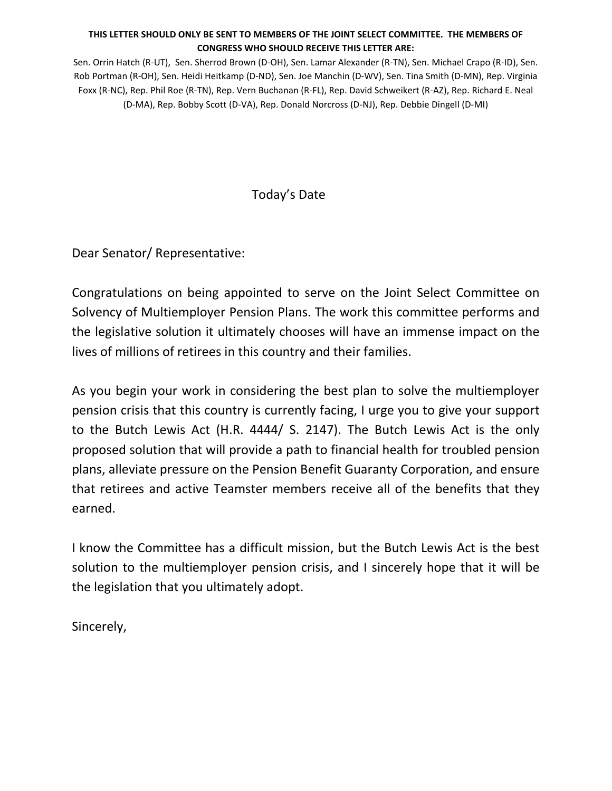#### **THIS LETTER SHOULD ONLY BE SENT TO MEMBERS OF THE JOINT SELECT COMMITTEE. THE MEMBERS OF CONGRESS WHO SHOULD RECEIVE THIS LETTER ARE:**

Sen. Orrin Hatch (R-UT), Sen. Sherrod Brown (D-OH), Sen. Lamar Alexander (R-TN), Sen. Michael Crapo (R-ID), Sen. Rob Portman (R-OH), Sen. Heidi Heitkamp (D-ND), Sen. Joe Manchin (D-WV), Sen. Tina Smith (D-MN), Rep. Virginia Foxx (R-NC), Rep. Phil Roe (R-TN), Rep. Vern Buchanan (R-FL), Rep. David Schweikert (R-AZ), Rep. Richard E. Neal (D-MA), Rep. Bobby Scott (D-VA), Rep. Donald Norcross (D-NJ), Rep. Debbie Dingell (D-MI)

# Today's Date

Dear Senator/ Representative:

Congratulations on being appointed to serve on the Joint Select Committee on Solvency of Multiemployer Pension Plans. The work this committee performs and the legislative solution it ultimately chooses will have an immense impact on the lives of millions of retirees in this country and their families.

As you begin your work in considering the best plan to solve the multiemployer pension crisis that this country is currently facing, I urge you to give your support to the Butch Lewis Act (H.R. 4444/ S. 2147). The Butch Lewis Act is the only proposed solution that will provide a path to financial health for troubled pension plans, alleviate pressure on the Pension Benefit Guaranty Corporation, and ensure that retirees and active Teamster members receive all of the benefits that they earned.

I know the Committee has a difficult mission, but the Butch Lewis Act is the best solution to the multiemployer pension crisis, and I sincerely hope that it will be the legislation that you ultimately adopt.

Sincerely,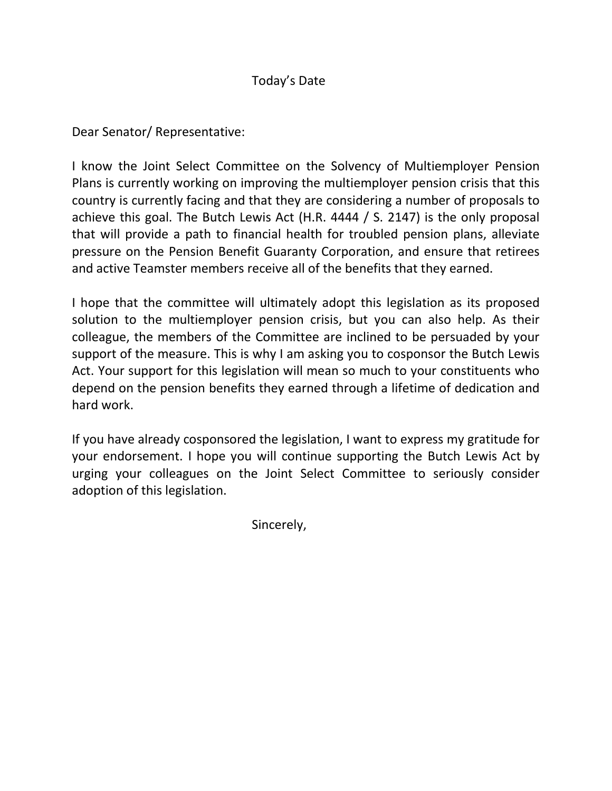# Today's Date

Dear Senator/ Representative:

I know the Joint Select Committee on the Solvency of Multiemployer Pension Plans is currently working on improving the multiemployer pension crisis that this country is currently facing and that they are considering a number of proposals to achieve this goal. The Butch Lewis Act (H.R. 4444 / S. 2147) is the only proposal that will provide a path to financial health for troubled pension plans, alleviate pressure on the Pension Benefit Guaranty Corporation, and ensure that retirees and active Teamster members receive all of the benefits that they earned.

I hope that the committee will ultimately adopt this legislation as its proposed solution to the multiemployer pension crisis, but you can also help. As their colleague, the members of the Committee are inclined to be persuaded by your support of the measure. This is why I am asking you to cosponsor the Butch Lewis Act. Your support for this legislation will mean so much to your constituents who depend on the pension benefits they earned through a lifetime of dedication and hard work.

If you have already cosponsored the legislation, I want to express my gratitude for your endorsement. I hope you will continue supporting the Butch Lewis Act by urging your colleagues on the Joint Select Committee to seriously consider adoption of this legislation.

Sincerely,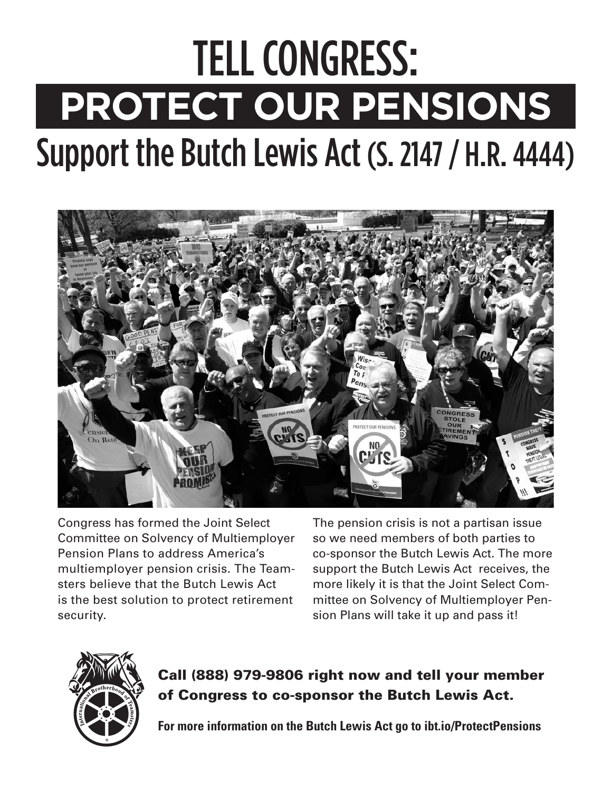# TELL CONGRESS: **PROTECT OUR PENSIONS** Support the Butch Lewis Act (S. 2147 / H.R. 4444)



Congress has formed the Joint Select Committee on Solvency of Multiemployer Pension Plans to address America's multiemployer pension crisis. The Teamsters believe that the Butch Lewis Act is the best solution to protect retirement security.

The pension crisis is not a partisan issue so we need members of both parties to co-sponsor the Butch Lewis Act. The more support the Butch Lewis Act receives, the more likely it is that the Joint Select Committee on Solvency of Multiemployer Pension Plans will take it up and pass it!



# **Call (888) 979-9806 right now and tell your member of Congress to co-sponsor the Butch Lewis Act.**

**For more information on the Butch Lewis Act go to ibt.io/ProtectPensions**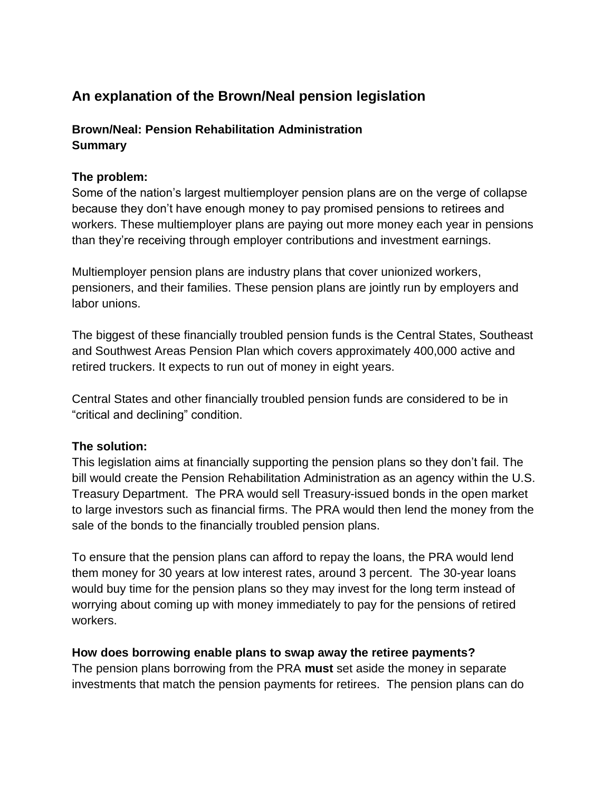# **An explanation of the Brown/Neal pension legislation**

# **Brown/Neal: Pension Rehabilitation Administration Summary**

# **The problem:**

Some of the nation's largest multiemployer pension plans are on the verge of collapse because they don't have enough money to pay promised pensions to retirees and workers. These multiemployer plans are paying out more money each year in pensions than they're receiving through employer contributions and investment earnings.

Multiemployer pension plans are industry plans that cover unionized workers, pensioners, and their families. These pension plans are jointly run by employers and labor unions.

The biggest of these financially troubled pension funds is the Central States, Southeast and Southwest Areas Pension Plan which covers approximately 400,000 active and retired truckers. It expects to run out of money in eight years.

Central States and other financially troubled pension funds are considered to be in "critical and declining" condition.

# **The solution:**

This legislation aims at financially supporting the pension plans so they don't fail. The bill would create the Pension Rehabilitation Administration as an agency within the U.S. Treasury Department. The PRA would sell Treasury-issued bonds in the open market to large investors such as financial firms. The PRA would then lend the money from the sale of the bonds to the financially troubled pension plans.

To ensure that the pension plans can afford to repay the loans, the PRA would lend them money for 30 years at low interest rates, around 3 percent. The 30-year loans would buy time for the pension plans so they may invest for the long term instead of worrying about coming up with money immediately to pay for the pensions of retired workers.

# **How does borrowing enable plans to swap away the retiree payments?**

The pension plans borrowing from the PRA **must** set aside the money in separate investments that match the pension payments for retirees. The pension plans can do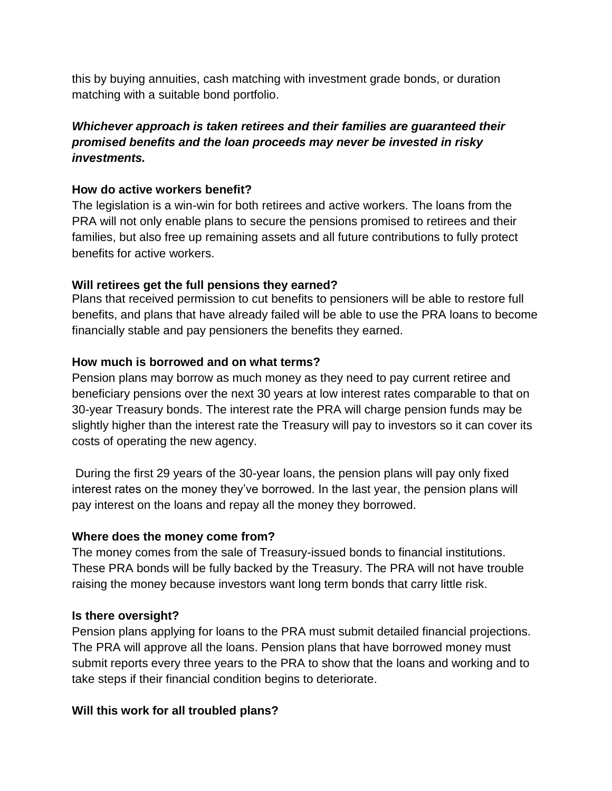this by buying annuities, cash matching with investment grade bonds, or duration matching with a suitable bond portfolio.

# *Whichever approach is taken retirees and their families are guaranteed their promised benefits and the loan proceeds may never be invested in risky investments.*

# **How do active workers benefit?**

The legislation is a win-win for both retirees and active workers. The loans from the PRA will not only enable plans to secure the pensions promised to retirees and their families, but also free up remaining assets and all future contributions to fully protect benefits for active workers.

#### **Will retirees get the full pensions they earned?**

Plans that received permission to cut benefits to pensioners will be able to restore full benefits, and plans that have already failed will be able to use the PRA loans to become financially stable and pay pensioners the benefits they earned.

#### **How much is borrowed and on what terms?**

Pension plans may borrow as much money as they need to pay current retiree and beneficiary pensions over the next 30 years at low interest rates comparable to that on 30-year Treasury bonds. The interest rate the PRA will charge pension funds may be slightly higher than the interest rate the Treasury will pay to investors so it can cover its costs of operating the new agency.

During the first 29 years of the 30-year loans, the pension plans will pay only fixed interest rates on the money they've borrowed. In the last year, the pension plans will pay interest on the loans and repay all the money they borrowed.

#### **Where does the money come from?**

The money comes from the sale of Treasury-issued bonds to financial institutions. These PRA bonds will be fully backed by the Treasury. The PRA will not have trouble raising the money because investors want long term bonds that carry little risk.

#### **Is there oversight?**

Pension plans applying for loans to the PRA must submit detailed financial projections. The PRA will approve all the loans. Pension plans that have borrowed money must submit reports every three years to the PRA to show that the loans and working and to take steps if their financial condition begins to deteriorate.

#### **Will this work for all troubled plans?**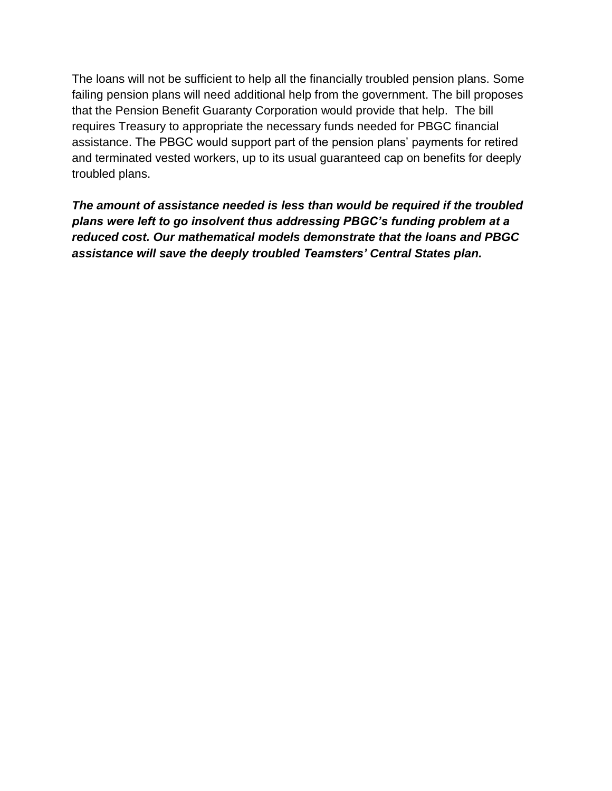The loans will not be sufficient to help all the financially troubled pension plans. Some failing pension plans will need additional help from the government. The bill proposes that the Pension Benefit Guaranty Corporation would provide that help. The bill requires Treasury to appropriate the necessary funds needed for PBGC financial assistance. The PBGC would support part of the pension plans' payments for retired and terminated vested workers, up to its usual guaranteed cap on benefits for deeply troubled plans.

*The amount of assistance needed is less than would be required if the troubled plans were left to go insolvent thus addressing PBGC's funding problem at a reduced cost. Our mathematical models demonstrate that the loans and PBGC assistance will save the deeply troubled Teamsters' Central States plan.*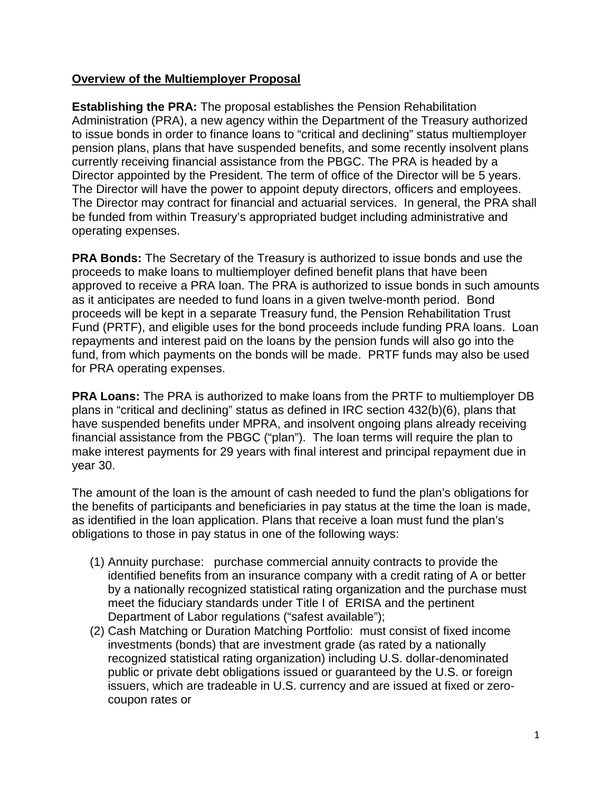#### **Overview of the Multiemployer Proposal**

**Establishing the PRA:** The proposal establishes the Pension Rehabilitation Administration (PRA), a new agency within the Department of the Treasury authorized to issue bonds in order to finance loans to "critical and declining" status multiemployer pension plans, plans that have suspended benefits, and some recently insolvent plans currently receiving financial assistance from the PBGC. The PRA is headed by a Director appointed by the President. The term of office of the Director will be 5 years. The Director will have the power to appoint deputy directors, officers and employees. The Director may contract for financial and actuarial services. In general, the PRA shall be funded from within Treasury's appropriated budget including administrative and operating expenses.

**PRA Bonds:** The Secretary of the Treasury is authorized to issue bonds and use the proceeds to make loans to multiemployer defined benefit plans that have been approved to receive a PRA loan. The PRA is authorized to issue bonds in such amounts as it anticipates are needed to fund loans in a given twelve-month period. Bond proceeds will be kept in a separate Treasury fund, the Pension Rehabilitation Trust Fund (PRTF), and eligible uses for the bond proceeds include funding PRA loans. Loan repayments and interest paid on the loans by the pension funds will also go into the fund, from which payments on the bonds will be made. PRTF funds may also be used for PRA operating expenses.

**PRA Loans:** The PRA is authorized to make loans from the PRTF to multiemployer DB plans in "critical and declining" status as defined in IRC section 432(b)(6), plans that have suspended benefits under MPRA, and insolvent ongoing plans already receiving financial assistance from the PBGC ("plan"). The loan terms will require the plan to make interest payments for 29 years with final interest and principal repayment due in year 30.

The amount of the loan is the amount of cash needed to fund the plan's obligations for the benefits of participants and beneficiaries in pay status at the time the loan is made, as identified in the loan application. Plans that receive a loan must fund the plan's obligations to those in pay status in one of the following ways:

- (1) Annuity purchase: purchase commercial annuity contracts to provide the identified benefits from an insurance company with a credit rating of A or better by a nationally recognized statistical rating organization and the purchase must meet the fiduciary standards under Title I of ERISA and the pertinent Department of Labor regulations ("safest available");
- (2) Cash Matching or Duration Matching Portfolio: must consist of fixed income investments (bonds) that are investment grade (as rated by a nationally recognized statistical rating organization) including U.S. dollar-denominated public or private debt obligations issued or guaranteed by the U.S. or foreign issuers, which are tradeable in U.S. currency and are issued at fixed or zerocoupon rates or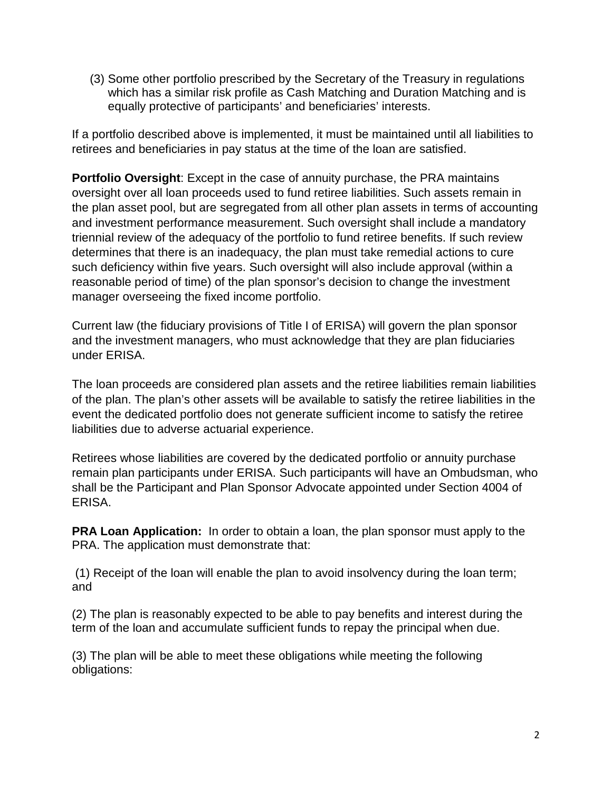(3) Some other portfolio prescribed by the Secretary of the Treasury in regulations which has a similar risk profile as Cash Matching and Duration Matching and is equally protective of participants' and beneficiaries' interests.

If a portfolio described above is implemented, it must be maintained until all liabilities to retirees and beneficiaries in pay status at the time of the loan are satisfied.

**Portfolio Oversight**: Except in the case of annuity purchase, the PRA maintains oversight over all loan proceeds used to fund retiree liabilities. Such assets remain in the plan asset pool, but are segregated from all other plan assets in terms of accounting and investment performance measurement. Such oversight shall include a mandatory triennial review of the adequacy of the portfolio to fund retiree benefits. If such review determines that there is an inadequacy, the plan must take remedial actions to cure such deficiency within five years. Such oversight will also include approval (within a reasonable period of time) of the plan sponsor's decision to change the investment manager overseeing the fixed income portfolio.

Current law (the fiduciary provisions of Title I of ERISA) will govern the plan sponsor and the investment managers, who must acknowledge that they are plan fiduciaries under ERISA.

The loan proceeds are considered plan assets and the retiree liabilities remain liabilities of the plan. The plan's other assets will be available to satisfy the retiree liabilities in the event the dedicated portfolio does not generate sufficient income to satisfy the retiree liabilities due to adverse actuarial experience.

Retirees whose liabilities are covered by the dedicated portfolio or annuity purchase remain plan participants under ERISA. Such participants will have an Ombudsman, who shall be the Participant and Plan Sponsor Advocate appointed under Section 4004 of ERISA.

**PRA Loan Application:** In order to obtain a loan, the plan sponsor must apply to the PRA. The application must demonstrate that:

(1) Receipt of the loan will enable the plan to avoid insolvency during the loan term; and

(2) The plan is reasonably expected to be able to pay benefits and interest during the term of the loan and accumulate sufficient funds to repay the principal when due.

(3) The plan will be able to meet these obligations while meeting the following obligations: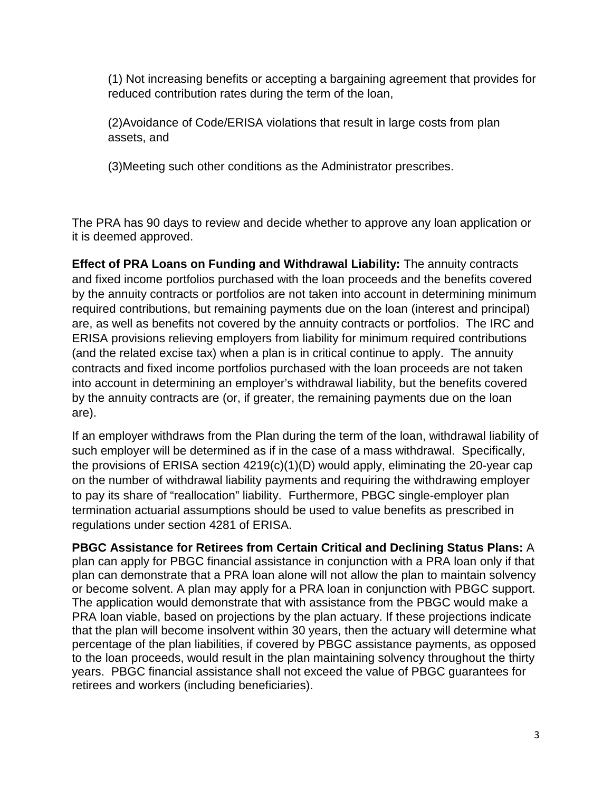(1) Not increasing benefits or accepting a bargaining agreement that provides for reduced contribution rates during the term of the loan,

(2)Avoidance of Code/ERISA violations that result in large costs from plan assets, and

(3)Meeting such other conditions as the Administrator prescribes.

The PRA has 90 days to review and decide whether to approve any loan application or it is deemed approved.

**Effect of PRA Loans on Funding and Withdrawal Liability:** The annuity contracts and fixed income portfolios purchased with the loan proceeds and the benefits covered by the annuity contracts or portfolios are not taken into account in determining minimum required contributions, but remaining payments due on the loan (interest and principal) are, as well as benefits not covered by the annuity contracts or portfolios. The IRC and ERISA provisions relieving employers from liability for minimum required contributions (and the related excise tax) when a plan is in critical continue to apply. The annuity contracts and fixed income portfolios purchased with the loan proceeds are not taken into account in determining an employer's withdrawal liability, but the benefits covered by the annuity contracts are (or, if greater, the remaining payments due on the loan are).

If an employer withdraws from the Plan during the term of the loan, withdrawal liability of such employer will be determined as if in the case of a mass withdrawal. Specifically, the provisions of ERISA section 4219(c)(1)(D) would apply, eliminating the 20-year cap on the number of withdrawal liability payments and requiring the withdrawing employer to pay its share of "reallocation" liability. Furthermore, PBGC single-employer plan termination actuarial assumptions should be used to value benefits as prescribed in regulations under section 4281 of ERISA.

**PBGC Assistance for Retirees from Certain Critical and Declining Status Plans:** A plan can apply for PBGC financial assistance in conjunction with a PRA loan only if that plan can demonstrate that a PRA loan alone will not allow the plan to maintain solvency or become solvent. A plan may apply for a PRA loan in conjunction with PBGC support. The application would demonstrate that with assistance from the PBGC would make a PRA loan viable, based on projections by the plan actuary. If these projections indicate that the plan will become insolvent within 30 years, then the actuary will determine what percentage of the plan liabilities, if covered by PBGC assistance payments, as opposed to the loan proceeds, would result in the plan maintaining solvency throughout the thirty years. PBGC financial assistance shall not exceed the value of PBGC guarantees for retirees and workers (including beneficiaries).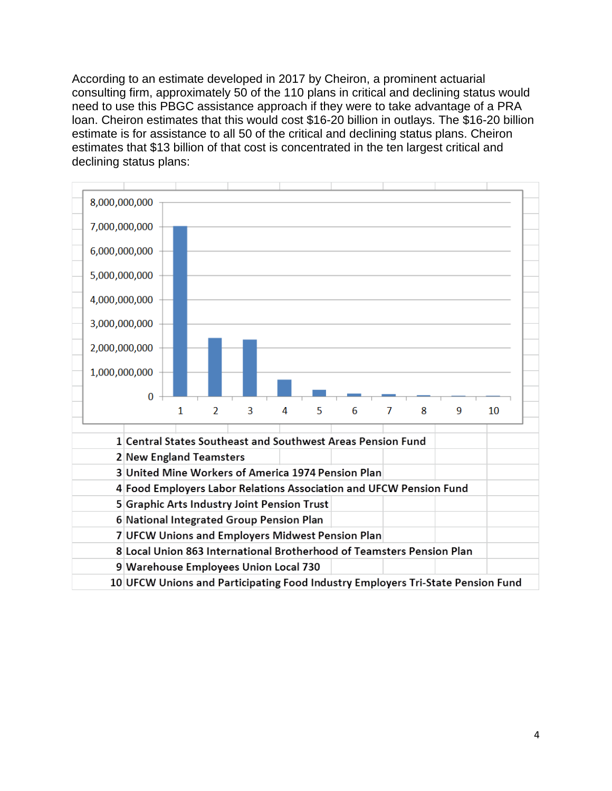According to an estimate developed in 2017 by Cheiron, a prominent actuarial consulting firm, approximately 50 of the 110 plans in critical and declining status would need to use this PBGC assistance approach if they were to take advantage of a PRA loan. Cheiron estimates that this would cost \$16-20 billion in outlays. The \$16-20 billion estimate is for assistance to all 50 of the critical and declining status plans. Cheiron estimates that \$13 billion of that cost is concentrated in the ten largest critical and declining status plans:

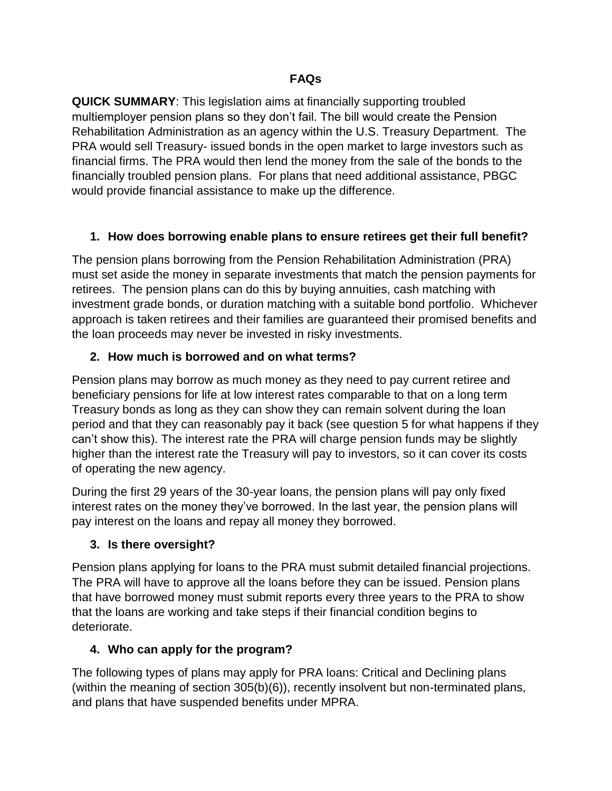**QUICK SUMMARY**: This legislation aims at financially supporting troubled multiemployer pension plans so they don't fail. The bill would create the Pension Rehabilitation Administration as an agency within the U.S. Treasury Department. The PRA would sell Treasury- issued bonds in the open market to large investors such as financial firms. The PRA would then lend the money from the sale of the bonds to the financially troubled pension plans. For plans that need additional assistance, PBGC would provide financial assistance to make up the difference.

# **1. How does borrowing enable plans to ensure retirees get their full benefit?**

The pension plans borrowing from the Pension Rehabilitation Administration (PRA) must set aside the money in separate investments that match the pension payments for retirees. The pension plans can do this by buying annuities, cash matching with investment grade bonds, or duration matching with a suitable bond portfolio. Whichever approach is taken retirees and their families are guaranteed their promised benefits and the loan proceeds may never be invested in risky investments.

# **2. How much is borrowed and on what terms?**

Pension plans may borrow as much money as they need to pay current retiree and beneficiary pensions for life at low interest rates comparable to that on a long term Treasury bonds as long as they can show they can remain solvent during the loan period and that they can reasonably pay it back (see question 5 for what happens if they can't show this). The interest rate the PRA will charge pension funds may be slightly higher than the interest rate the Treasury will pay to investors, so it can cover its costs of operating the new agency.

During the first 29 years of the 30-year loans, the pension plans will pay only fixed interest rates on the money they've borrowed. In the last year, the pension plans will pay interest on the loans and repay all money they borrowed.

# **3. Is there oversight?**

Pension plans applying for loans to the PRA must submit detailed financial projections. The PRA will have to approve all the loans before they can be issued. Pension plans that have borrowed money must submit reports every three years to the PRA to show that the loans are working and take steps if their financial condition begins to deteriorate.

# **4. Who can apply for the program?**

The following types of plans may apply for PRA loans: Critical and Declining plans (within the meaning of section 305(b)(6)), recently insolvent but non-terminated plans, and plans that have suspended benefits under MPRA.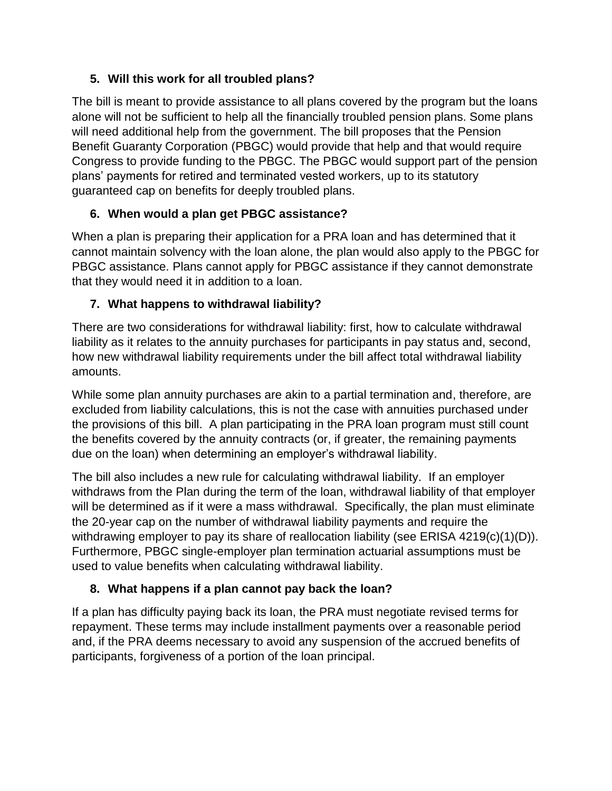# **5. Will this work for all troubled plans?**

The bill is meant to provide assistance to all plans covered by the program but the loans alone will not be sufficient to help all the financially troubled pension plans. Some plans will need additional help from the government. The bill proposes that the Pension Benefit Guaranty Corporation (PBGC) would provide that help and that would require Congress to provide funding to the PBGC. The PBGC would support part of the pension plans' payments for retired and terminated vested workers, up to its statutory guaranteed cap on benefits for deeply troubled plans.

# **6. When would a plan get PBGC assistance?**

When a plan is preparing their application for a PRA loan and has determined that it cannot maintain solvency with the loan alone, the plan would also apply to the PBGC for PBGC assistance. Plans cannot apply for PBGC assistance if they cannot demonstrate that they would need it in addition to a loan.

# **7. What happens to withdrawal liability?**

There are two considerations for withdrawal liability: first, how to calculate withdrawal liability as it relates to the annuity purchases for participants in pay status and, second, how new withdrawal liability requirements under the bill affect total withdrawal liability amounts.

While some plan annuity purchases are akin to a partial termination and, therefore, are excluded from liability calculations, this is not the case with annuities purchased under the provisions of this bill. A plan participating in the PRA loan program must still count the benefits covered by the annuity contracts (or, if greater, the remaining payments due on the loan) when determining an employer's withdrawal liability.

The bill also includes a new rule for calculating withdrawal liability. If an employer withdraws from the Plan during the term of the loan, withdrawal liability of that employer will be determined as if it were a mass withdrawal. Specifically, the plan must eliminate the 20-year cap on the number of withdrawal liability payments and require the withdrawing employer to pay its share of reallocation liability (see ERISA 4219(c)(1)(D)). Furthermore, PBGC single-employer plan termination actuarial assumptions must be used to value benefits when calculating withdrawal liability.

# **8. What happens if a plan cannot pay back the loan?**

If a plan has difficulty paying back its loan, the PRA must negotiate revised terms for repayment. These terms may include installment payments over a reasonable period and, if the PRA deems necessary to avoid any suspension of the accrued benefits of participants, forgiveness of a portion of the loan principal.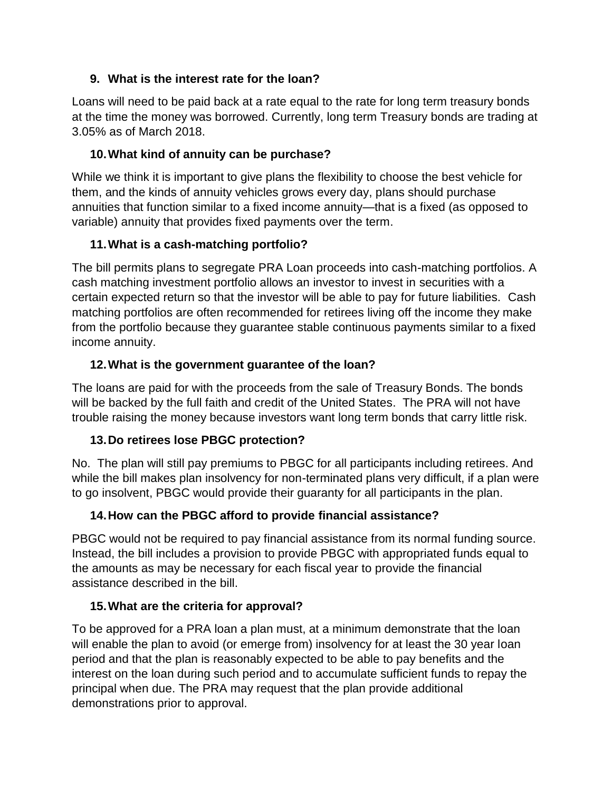# **9. What is the interest rate for the loan?**

Loans will need to be paid back at a rate equal to the rate for long term treasury bonds at the time the money was borrowed. Currently, long term Treasury bonds are trading at 3.05% as of March 2018.

# **10.What kind of annuity can be purchase?**

While we think it is important to give plans the flexibility to choose the best vehicle for them, and the kinds of annuity vehicles grows every day, plans should purchase annuities that function similar to a fixed income annuity—that is a fixed (as opposed to variable) annuity that provides fixed payments over the term.

# **11.What is a cash-matching portfolio?**

The bill permits plans to segregate PRA Loan proceeds into cash-matching portfolios. A cash matching investment portfolio allows an investor to invest in securities with a certain expected return so that the investor will be able to pay for future liabilities. Cash matching portfolios are often recommended for retirees living off the income they make from the portfolio because they guarantee stable continuous payments similar to a fixed income annuity.

# **12.What is the government guarantee of the loan?**

The loans are paid for with the proceeds from the sale of Treasury Bonds. The bonds will be backed by the full faith and credit of the United States. The PRA will not have trouble raising the money because investors want long term bonds that carry little risk.

# **13.Do retirees lose PBGC protection?**

No. The plan will still pay premiums to PBGC for all participants including retirees. And while the bill makes plan insolvency for non-terminated plans very difficult, if a plan were to go insolvent, PBGC would provide their guaranty for all participants in the plan.

# **14.How can the PBGC afford to provide financial assistance?**

PBGC would not be required to pay financial assistance from its normal funding source. Instead, the bill includes a provision to provide PBGC with appropriated funds equal to the amounts as may be necessary for each fiscal year to provide the financial assistance described in the bill.

# **15.What are the criteria for approval?**

To be approved for a PRA loan a plan must, at a minimum demonstrate that the loan will enable the plan to avoid (or emerge from) insolvency for at least the 30 year loan period and that the plan is reasonably expected to be able to pay benefits and the interest on the loan during such period and to accumulate sufficient funds to repay the principal when due. The PRA may request that the plan provide additional demonstrations prior to approval.